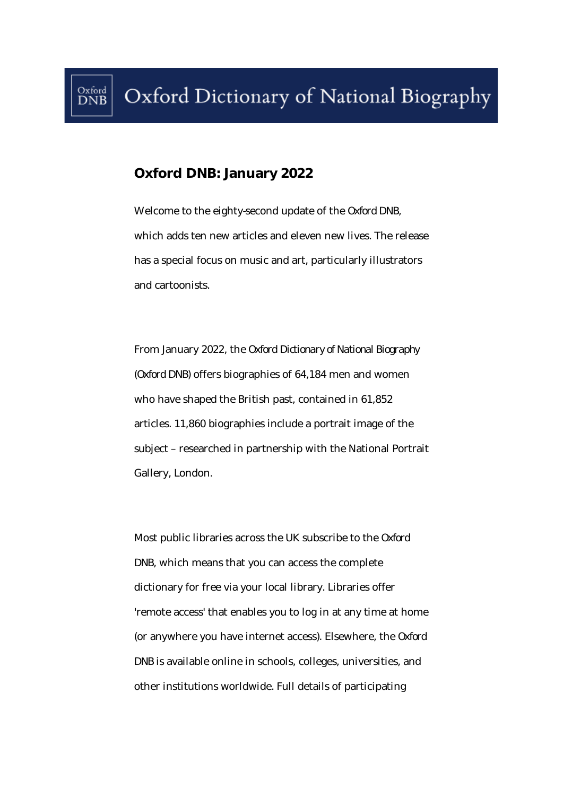## **Oxford DNB: January 2022**

Welcome to the eighty-second update of the *Oxford DNB*, which adds ten new articles and eleven new lives. The release has a special focus on music and art, particularly illustrators and cartoonists.

From January 2022, the *Oxford Dictionary of National Biography*  (*Oxford DNB*) offers biographies of 64,184 men and women who have shaped the British past, contained in 61,852 articles. 11,860 biographies include a portrait image of the subject – researched in partnership with the National Portrait Gallery, London.

Most public libraries across the UK subscribe to the *Oxford DNB*, which means that you can access the complete dictionary for free via your local library. Libraries offer 'remote access' that enables you to log in at any time at home (or anywhere you have internet access). Elsewhere, the *Oxford DNB* is available online in schools, colleges, universities, and other institutions worldwide. Full details of participating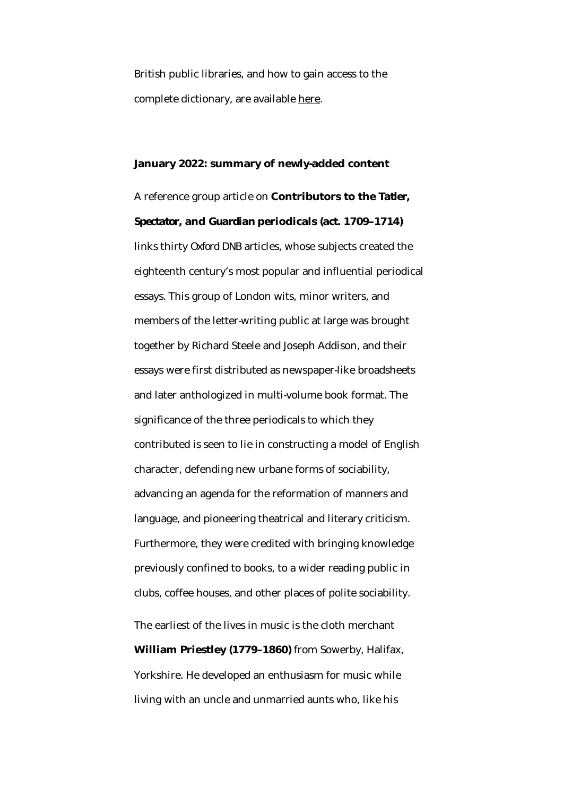British public libraries, and how to gain access to the complete dictionary, are available here.

## **January 2022: summary of newly-added content**

A reference group article on **Contributors to the** *Tatler***,**  *Spectator***, and** *Guardian* **periodicals (***act***. 1709–1714)** links thirty *Oxford DNB* articles, whose subjects created the eighteenth century's most popular and influential periodical essays. This group of London wits, minor writers, and members of the letter-writing public at large was brought together by Richard Steele and Joseph Addison, and their essays were first distributed as newspaper-like broadsheets and later anthologized in multi-volume book format. The significance of the three periodicals to which they contributed is seen to lie in constructing a model of English character, defending new urbane forms of sociability, advancing an agenda for the reformation of manners and language, and pioneering theatrical and literary criticism. Furthermore, they were credited with bringing knowledge previously confined to books, to a wider reading public in clubs, coffee houses, and other places of polite sociability. The earliest of the lives in music is the cloth merchant **William Priestley (1779–1860)** from Sowerby, Halifax, Yorkshire. He developed an enthusiasm for music while living with an uncle and unmarried aunts who, like his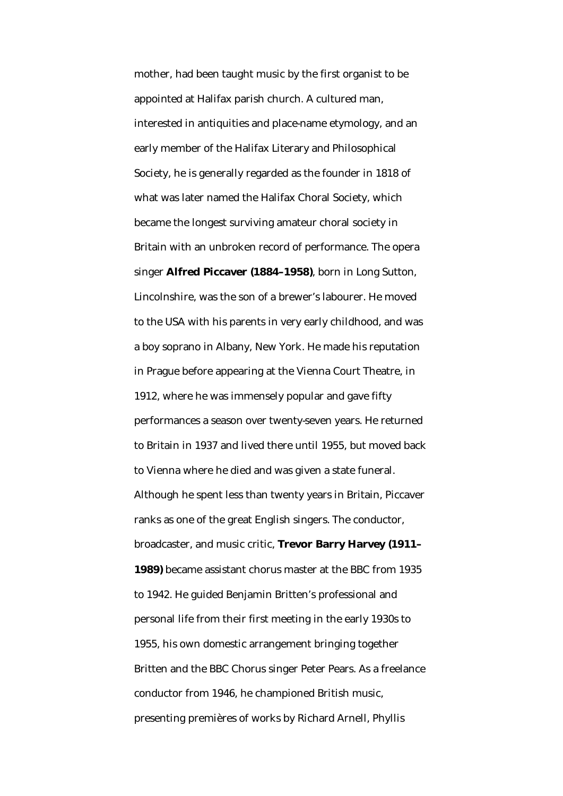mother, had been taught music by the first organist to be appointed at Halifax parish church. A cultured man, interested in antiquities and place-name etymology, and an early member of the Halifax Literary and Philosophical Society, he is generally regarded as the founder in 1818 of what was later named the Halifax Choral Society, which became the longest surviving amateur choral society in Britain with an unbroken record of performance. The opera singer **Alfred Piccaver (1884–1958)**, born in Long Sutton, Lincolnshire, was the son of a brewer's labourer. He moved to the USA with his parents in very early childhood, and was a boy soprano in Albany, New York. He made his reputation in Prague before appearing at the Vienna Court Theatre, in 1912, where he was immensely popular and gave fifty performances a season over twenty-seven years. He returned to Britain in 1937 and lived there until 1955, but moved back to Vienna where he died and was given a state funeral. Although he spent less than twenty years in Britain, Piccaver ranks as one of the great English singers. The conductor, broadcaster, and music critic, **Trevor Barry Harvey (1911– 1989)** became assistant chorus master at the BBC from 1935 to 1942. He guided Benjamin Britten's professional and personal life from their first meeting in the early 1930s to 1955, his own domestic arrangement bringing together Britten and the BBC Chorus singer Peter Pears. As a freelance conductor from 1946, he championed British music, presenting premières of works by Richard Arnell, Phyllis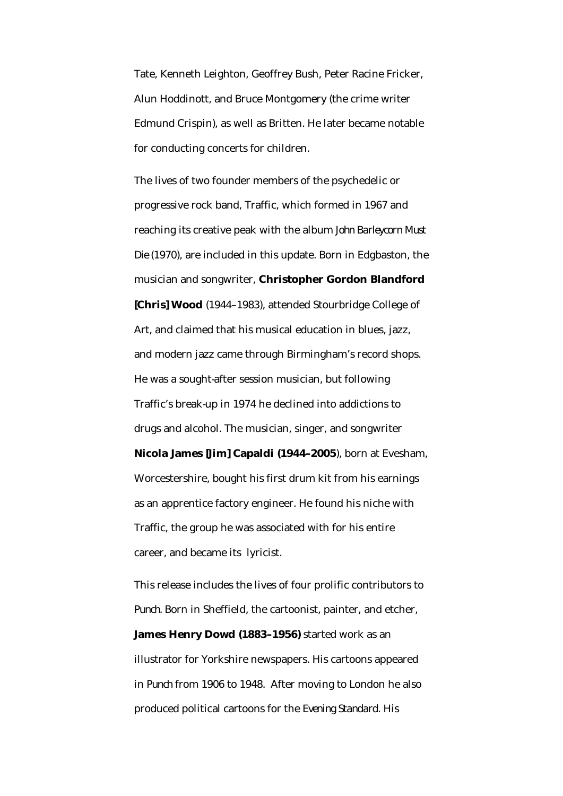Tate, Kenneth Leighton, Geoffrey Bush, Peter Racine Fricker, Alun Hoddinott, and Bruce Montgomery (the crime writer Edmund Crispin), as well as Britten. He later became notable for conducting concerts for children.

The lives of two founder members of the psychedelic or progressive rock band, Traffic, which formed in 1967 and reaching its creative peak with the album *John Barleycorn Must Die* (1970), are included in this update. Born in Edgbaston, the musician and songwriter, **Christopher Gordon Blandford [Chris] Wood** (1944–1983), attended Stourbridge College of Art, and claimed that his musical education in blues, jazz, and modern jazz came through Birmingham's record shops. He was a sought-after session musician, but following Traffic's break-up in 1974 he declined into addictions to drugs and alcohol. The musician, singer, and songwriter **Nicola James [Jim] Capaldi (1944–2005**), born at Evesham, Worcestershire, bought his first drum kit from his earnings as an apprentice factory engineer. He found his niche with Traffic, the group he was associated with for his entire career, and became its lyricist.

This release includes the lives of four prolific contributors to *Punch.* Born in Sheffield, the cartoonist, painter, and etcher, **James Henry Dowd (1883–1956)** started work as an illustrator for Yorkshire newspapers. His cartoons appeared in *Punch* from 1906 to 1948. After moving to London he also produced political cartoons for the *Evening Standard*. His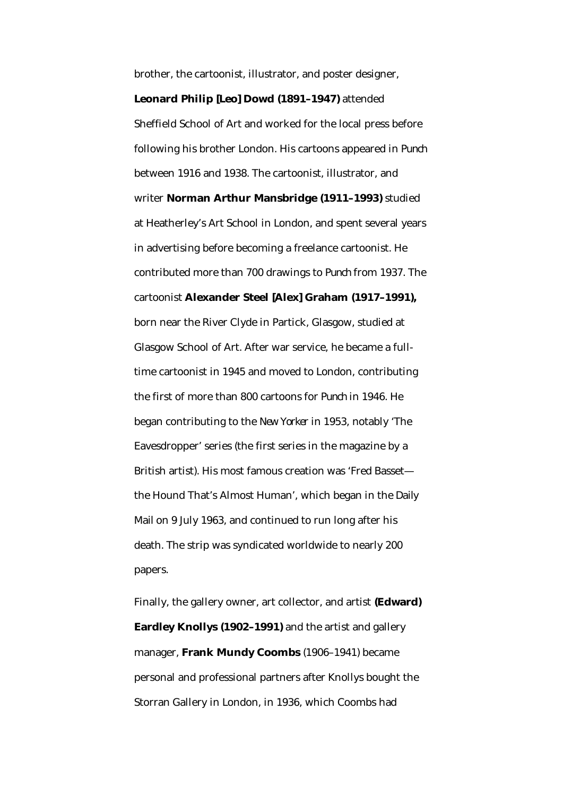brother, the cartoonist, illustrator, and poster designer, **Leonard Philip [Leo] Dowd (1891–1947)** attended Sheffield School of Art and worked for the local press before following his brother London. His cartoons appeared in *Punch* between 1916 and 1938. The cartoonist, illustrator, and writer **Norman Arthur Mansbridge (1911–1993)** studied at Heatherley's Art School in London, and spent several years in advertising before becoming a freelance cartoonist. He contributed more than 700 drawings to *Punch* from 1937. The cartoonist **Alexander Steel [Alex] Graham (1917–1991),** born near the River Clyde in Partick, Glasgow, studied at Glasgow School of Art. After war service, he became a fulltime cartoonist in 1945 and moved to London, contributing the first of more than 800 cartoons for *Punch* in 1946. He began contributing to the *New Yorker* in 1953, notably 'The Eavesdropper' series (the first series in the magazine by a British artist). His most famous creation was 'Fred Basset the Hound That's Almost Human', which began in the *Daily Mail* on 9 July 1963, and continued to run long after his death. The strip was syndicated worldwide to nearly 200 papers.

Finally, the gallery owner, art collector, and artist **(Edward) Eardley Knollys (1902–1991)** and the artist and gallery manager, **Frank Mundy Coombs** (1906–1941) became personal and professional partners after Knollys bought the Storran Gallery in London, in 1936, which Coombs had